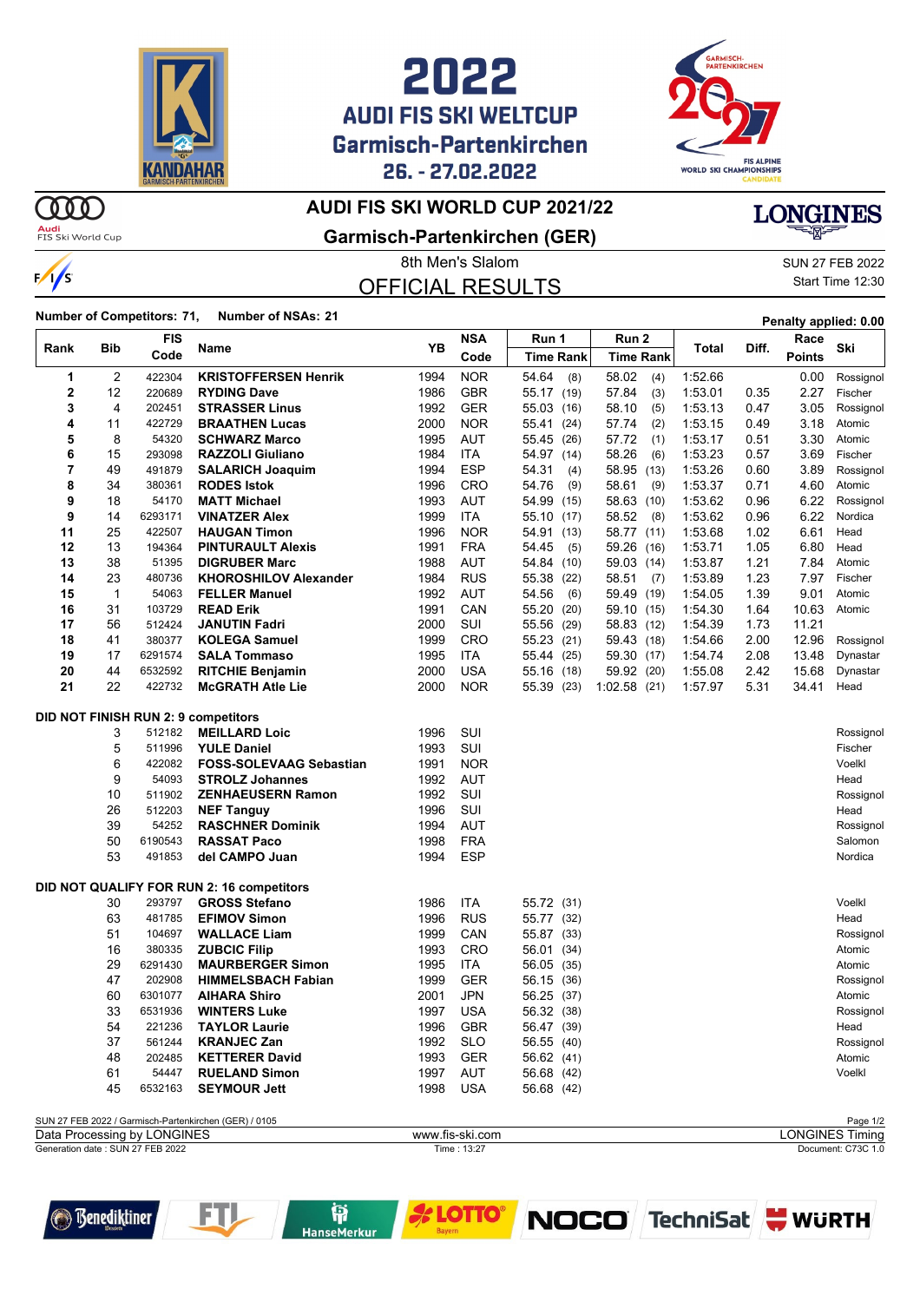

## **AUDI FIS SKI WELTCUP Garmisch-Partenkirchen** 26. - 27.02.2022



#### **AUDI FIS SKI WORLD CUP 2021/22**

**Audi**<br>FIS Ski World Cup

 $\frac{1}{s}$ 

 $\omega$ 

### **Garmisch-Partenkirchen (GER)**

# OFFICIAL RESULTS

8th Men's Slalom SUN 27 FEB 2022 Start Time 12:30

**LONGINES** 

**Number of Competitors: 71, Number of NSAs: <sup>21</sup> Penalty applied: 0.00**

| Rank                                                                                 | Bib          | <b>FIS</b> |                                            | YB   | <b>NSA</b>      | Run 1            | Run 2            |         | Diff. | Race          | Ski                    |
|--------------------------------------------------------------------------------------|--------------|------------|--------------------------------------------|------|-----------------|------------------|------------------|---------|-------|---------------|------------------------|
|                                                                                      |              | Code       | Name                                       |      | Code            | <b>Time Rank</b> | <b>Time Rank</b> | Total   |       | <b>Points</b> |                        |
| 1                                                                                    | 2            | 422304     | <b>KRISTOFFERSEN Henrik</b>                | 1994 | <b>NOR</b>      | 54.64<br>(8)     | 58.02<br>(4)     | 1:52.66 |       | 0.00          | Rossignol              |
| 2                                                                                    | 12           | 220689     | <b>RYDING Dave</b>                         | 1986 | <b>GBR</b>      | 55.17 (19)       | 57.84<br>(3)     | 1:53.01 | 0.35  | 2.27          | Fischer                |
| 3                                                                                    | 4            | 202451     | <b>STRASSER Linus</b>                      | 1992 | <b>GER</b>      | 55.03<br>(16)    | 58.10<br>(5)     | 1:53.13 | 0.47  | 3.05          | Rossignol              |
| 4                                                                                    | 11           | 422729     | <b>BRAATHEN Lucas</b>                      | 2000 | <b>NOR</b>      | 55.41<br>(24)    | 57.74<br>(2)     | 1:53.15 | 0.49  | 3.18          | Atomic                 |
| 5                                                                                    | 8            | 54320      | <b>SCHWARZ Marco</b>                       | 1995 | AUT             | 55.45<br>(26)    | 57.72<br>(1)     | 1:53.17 | 0.51  | 3.30          | Atomic                 |
| 6                                                                                    | 15           | 293098     | <b>RAZZOLI Giuliano</b>                    | 1984 | ITA             | 54.97 (14)       | 58.26<br>(6)     | 1:53.23 | 0.57  | 3.69          | Fischer                |
| 7                                                                                    | 49           | 491879     | <b>SALARICH Joaquim</b>                    | 1994 | <b>ESP</b>      | 54.31<br>(4)     | 58.95<br>(13)    | 1:53.26 | 0.60  | 3.89          | Rossignol              |
| 8                                                                                    | 34           | 380361     | <b>RODES Istok</b>                         | 1996 | <b>CRO</b>      | 54.76<br>(9)     | 58.61<br>(9)     | 1:53.37 | 0.71  | 4.60          | Atomic                 |
| 9                                                                                    | 18           | 54170      | <b>MATT Michael</b>                        | 1993 | AUT             | 54.99<br>(15)    | 58.63 (10)       | 1:53.62 | 0.96  | 6.22          | Rossignol              |
| 9                                                                                    | 14           | 6293171    | <b>VINATZER Alex</b>                       | 1999 | <b>ITA</b>      | 55.10 (17)       | 58.52<br>(8)     | 1:53.62 | 0.96  | 6.22          | Nordica                |
| 11                                                                                   | 25           | 422507     | <b>HAUGAN Timon</b>                        | 1996 | <b>NOR</b>      | 54.91<br>(13)    | 58.77 (11)       | 1:53.68 | 1.02  | 6.61          | Head                   |
| 12                                                                                   | 13           | 194364     | <b>PINTURAULT Alexis</b>                   | 1991 | <b>FRA</b>      | 54.45<br>(5)     | 59.26 (16)       | 1:53.71 | 1.05  | 6.80          | Head                   |
| 13                                                                                   | 38           | 51395      | <b>DIGRUBER Marc</b>                       | 1988 | <b>AUT</b>      | 54.84 (10)       | 59.03 (14)       | 1:53.87 | 1.21  | 7.84          | Atomic                 |
| 14                                                                                   | 23           | 480736     | <b>KHOROSHILOV Alexander</b>               | 1984 | <b>RUS</b>      | 55.38<br>(22)    | 58.51<br>(7)     | 1:53.89 | 1.23  | 7.97          | Fischer                |
| 15                                                                                   | $\mathbf{1}$ | 54063      | <b>FELLER Manuel</b>                       | 1992 | AUT             | 54.56<br>(6)     | 59.49 (19)       | 1:54.05 | 1.39  | 9.01          | Atomic                 |
| 16                                                                                   | 31           | 103729     | <b>READ Erik</b>                           | 1991 | CAN             | 55.20<br>(20)    | 59.10 (15)       | 1:54.30 | 1.64  | 10.63         | Atomic                 |
| 17                                                                                   | 56           | 512424     | <b>JANUTIN Fadri</b>                       | 2000 | SUI             | 55.56<br>(29)    | 58.83 (12)       | 1:54.39 | 1.73  | 11.21         |                        |
| 18                                                                                   | 41           | 380377     | <b>KOLEGA Samuel</b>                       | 1999 | CRO             | 55.23<br>(21)    | 59.43 (18)       | 1:54.66 | 2.00  | 12.96         | Rossignol              |
| 19                                                                                   | 17           | 6291574    | <b>SALA Tommaso</b>                        | 1995 | ITA             | 55.44<br>(25)    | 59.30 (17)       | 1:54.74 | 2.08  | 13.48         | Dynastar               |
| 20                                                                                   | 44           | 6532592    | <b>RITCHIE Benjamin</b>                    | 2000 | <b>USA</b>      | 55.16<br>(18)    | 59.92 (20)       | 1:55.08 | 2.42  | 15.68         | Dynastar               |
| 21                                                                                   | 22           | 422732     | <b>McGRATH Atle Lie</b>                    | 2000 | <b>NOR</b>      | 55.39 (23)       | 1:02.58(21)      | 1:57.97 | 5.31  | 34.41         | Head                   |
|                                                                                      |              |            | <b>DID NOT FINISH RUN 2: 9 competitors</b> |      |                 |                  |                  |         |       |               |                        |
|                                                                                      | 3            | 512182     | <b>MEILLARD Loic</b>                       | 1996 | SUI             |                  |                  |         |       |               | Rossignol              |
|                                                                                      | 5            | 511996     | <b>YULE Daniel</b>                         | 1993 | SUI             |                  |                  |         |       |               | Fischer                |
|                                                                                      | 6            | 422082     | <b>FOSS-SOLEVAAG Sebastian</b>             | 1991 | <b>NOR</b>      |                  |                  |         |       |               | Voelkl                 |
|                                                                                      | 9            | 54093      | <b>STROLZ Johannes</b>                     | 1992 | AUT             |                  |                  |         |       |               | Head                   |
|                                                                                      | 10           | 511902     | <b>ZENHAEUSERN Ramon</b>                   | 1992 | SUI             |                  |                  |         |       |               | Rossignol              |
|                                                                                      | 26           | 512203     | <b>NEF Tanguy</b>                          | 1996 | SUI             |                  |                  |         |       |               | Head                   |
|                                                                                      | 39           | 54252      | <b>RASCHNER Dominik</b>                    | 1994 | AUT             |                  |                  |         |       |               | Rossignol              |
|                                                                                      | 50           | 6190543    | <b>RASSAT Paco</b>                         | 1998 | <b>FRA</b>      |                  |                  |         |       |               | Salomon                |
|                                                                                      | 53           | 491853     | del CAMPO Juan                             | 1994 | <b>ESP</b>      |                  |                  |         |       |               | Nordica                |
|                                                                                      |              |            | DID NOT QUALIFY FOR RUN 2: 16 competitors  |      |                 |                  |                  |         |       |               |                        |
|                                                                                      | 30           | 293797     | <b>GROSS Stefano</b>                       | 1986 | ITA             | 55.72 (31)       |                  |         |       |               | Voelkl                 |
|                                                                                      | 63           | 481785     | <b>EFIMOV Simon</b>                        | 1996 | <b>RUS</b>      | 55.77 (32)       |                  |         |       |               | Head                   |
|                                                                                      | 51           | 104697     | <b>WALLACE Liam</b>                        | 1999 | CAN             | 55.87 (33)       |                  |         |       |               | Rossignol              |
|                                                                                      | 16           | 380335     | <b>ZUBCIC Filip</b>                        | 1993 | CRO             | 56.01<br>(34)    |                  |         |       |               | Atomic                 |
|                                                                                      | 29           | 6291430    | <b>MAURBERGER Simon</b>                    | 1995 | ITA             | 56.05 (35)       |                  |         |       |               | Atomic                 |
|                                                                                      | 47           | 202908     | <b>HIMMELSBACH Fabian</b>                  | 1999 | <b>GER</b>      | 56.15 (36)       |                  |         |       |               | Rossignol              |
|                                                                                      | 60           | 6301077    | <b>AIHARA Shiro</b>                        | 2001 | <b>JPN</b>      | 56.25 (37)       |                  |         |       |               | Atomic                 |
|                                                                                      | 33           | 6531936    | <b>WINTERS Luke</b>                        | 1997 | <b>USA</b>      | 56.32 (38)       |                  |         |       |               | Rossignol              |
|                                                                                      | 54           | 221236     | <b>TAYLOR Laurie</b>                       |      | 1996 GBR        | 56.47 (39)       |                  |         |       |               | Head                   |
|                                                                                      | 37           | 561244     | <b>KRANJEC Zan</b>                         | 1992 | <b>SLO</b>      | 56.55 (40)       |                  |         |       |               | Rossignol              |
|                                                                                      | 48           | 202485     | <b>KETTERER David</b>                      | 1993 | GER             | 56.62 (41)       |                  |         |       |               | Atomic                 |
|                                                                                      | 61           | 54447      | <b>RUELAND Simon</b>                       | 1997 | <b>AUT</b>      | 56.68 (42)       |                  |         |       |               | Voelkl                 |
|                                                                                      | 45           | 6532163    | <b>SEYMOUR Jett</b>                        | 1998 | <b>USA</b>      | 56.68 (42)       |                  |         |       |               |                        |
|                                                                                      |              |            |                                            |      |                 |                  |                  |         |       |               | Page 1/2               |
| SUN 27 FEB 2022 / Garmisch-Partenkirchen (GER) / 0105<br>Data Processing by LONGINES |              |            |                                            |      | www.fis-ski.com |                  |                  |         |       |               | <b>LONGINES Timing</b> |
| Generation date: SUN 27 FEB 2022                                                     |              |            |                                            |      | Time: 13:27     |                  |                  |         |       |               | Document: C73C 1.0     |

**is**<br>HanseMerkur



FTI